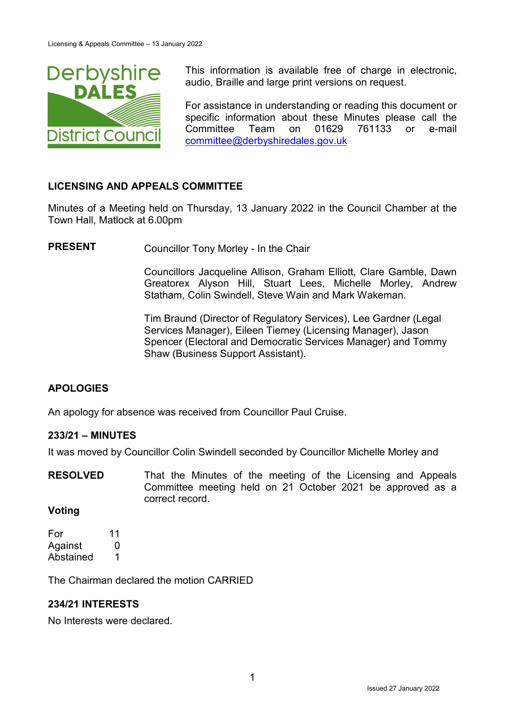

This information is available free of charge in electronic, audio, Braille and large print versions on request.

For assistance in understanding or reading this document or specific information about these Minutes please call the Committee Team on 01629 761133 or e-mail [committee@derbyshiredales.gov.uk](mailto:committee@derbyshiredales.gov.uk)

# **LICENSING AND APPEALS COMMITTEE**

Minutes of a Meeting held on Thursday, 13 January 2022 in the Council Chamber at the Town Hall, Matlock at 6.00pm

**PRESENT** Councillor Tony Morley - In the Chair

Councillors Jacqueline Allison, Graham Elliott, Clare Gamble, Dawn Greatorex Alyson Hill, Stuart Lees, Michelle Morley, Andrew Statham, Colin Swindell, Steve Wain and Mark Wakeman.

Tim Braund (Director of Regulatory Services), Lee Gardner (Legal Services Manager), Eileen Tierney (Licensing Manager), Jason Spencer (Electoral and Democratic Services Manager) and Tommy Shaw (Business Support Assistant).

# **APOLOGIES**

An apology for absence was received from Councillor Paul Cruise.

#### **233/21 – MINUTES**

It was moved by Councillor Colin Swindell seconded by Councillor Michelle Morley and

**RESOLVED** That the Minutes of the meeting of the Licensing and Appeals Committee meeting held on 21 October 2021 be approved as a correct record.

#### **Voting**

For 11 Against 0 Abstained 1

The Chairman declared the motion CARRIED

#### **234/21 INTERESTS**

No Interests were declared.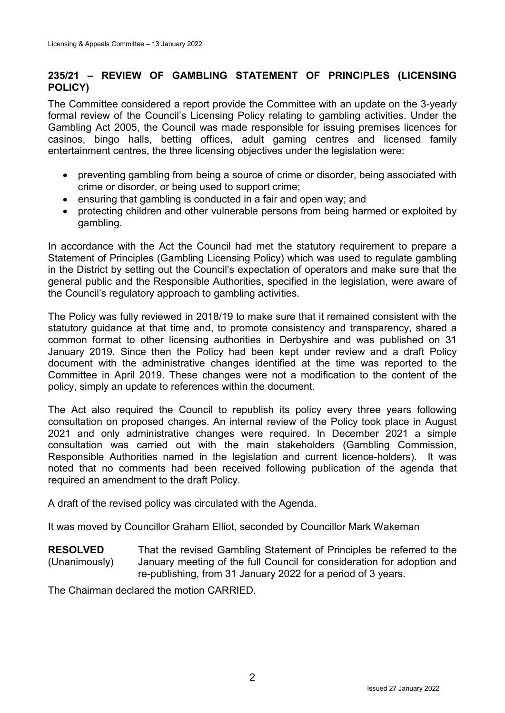# **235/21 – REVIEW OF GAMBLING STATEMENT OF PRINCIPLES (LICENSING POLICY)**

The Committee considered a report provide the Committee with an update on the 3-yearly formal review of the Council's Licensing Policy relating to gambling activities. Under the Gambling Act 2005, the Council was made responsible for issuing premises licences for casinos, bingo halls, betting offices, adult gaming centres and licensed family entertainment centres, the three licensing objectives under the legislation were:

- preventing gambling from being a source of crime or disorder, being associated with crime or disorder, or being used to support crime;
- ensuring that gambling is conducted in a fair and open way; and
- protecting children and other vulnerable persons from being harmed or exploited by gambling.

In accordance with the Act the Council had met the statutory requirement to prepare a Statement of Principles (Gambling Licensing Policy) which was used to regulate gambling in the District by setting out the Council's expectation of operators and make sure that the general public and the Responsible Authorities, specified in the legislation, were aware of the Council's regulatory approach to gambling activities.

The Policy was fully reviewed in 2018/19 to make sure that it remained consistent with the statutory guidance at that time and, to promote consistency and transparency, shared a common format to other licensing authorities in Derbyshire and was published on 31 January 2019. Since then the Policy had been kept under review and a draft Policy document with the administrative changes identified at the time was reported to the Committee in April 2019. These changes were not a modification to the content of the policy, simply an update to references within the document.

The Act also required the Council to republish its policy every three years following consultation on proposed changes. An internal review of the Policy took place in August 2021 and only administrative changes were required. In December 2021 a simple consultation was carried out with the main stakeholders (Gambling Commission, Responsible Authorities named in the legislation and current licence-holders). It was noted that no comments had been received following publication of the agenda that required an amendment to the draft Policy.

A draft of the revised policy was circulated with the Agenda.

It was moved by Councillor Graham Elliot, seconded by Councillor Mark Wakeman

**RESOLVED** (Unanimously) That the revised Gambling Statement of Principles be referred to the January meeting of the full Council for consideration for adoption and re-publishing, from 31 January 2022 for a period of 3 years.

The Chairman declared the motion CARRIED.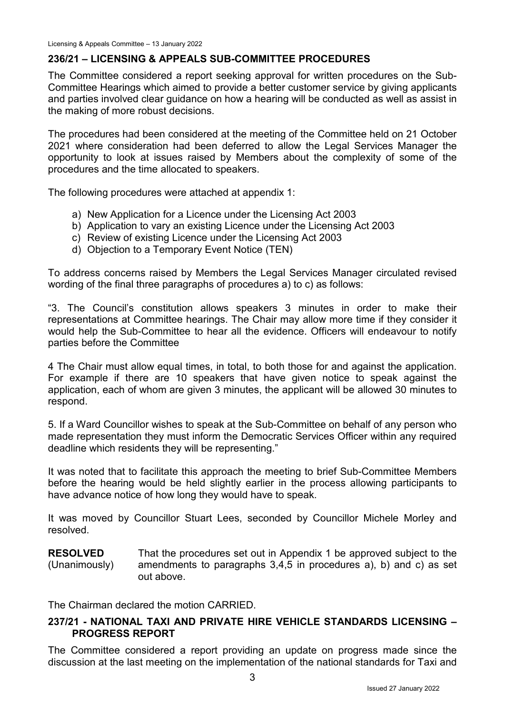# **236/21 – LICENSING & APPEALS SUB-COMMITTEE PROCEDURES**

The Committee considered a report seeking approval for written procedures on the Sub-Committee Hearings which aimed to provide a better customer service by giving applicants and parties involved clear guidance on how a hearing will be conducted as well as assist in the making of more robust decisions.

The procedures had been considered at the meeting of the Committee held on 21 October 2021 where consideration had been deferred to allow the Legal Services Manager the opportunity to look at issues raised by Members about the complexity of some of the procedures and the time allocated to speakers.

The following procedures were attached at appendix 1:

- a) New Application for a Licence under the Licensing Act 2003
- b) Application to vary an existing Licence under the Licensing Act 2003
- c) Review of existing Licence under the Licensing Act 2003
- d) Objection to a Temporary Event Notice (TEN)

To address concerns raised by Members the Legal Services Manager circulated revised wording of the final three paragraphs of procedures a) to c) as follows:

"3. The Council's constitution allows speakers 3 minutes in order to make their representations at Committee hearings. The Chair may allow more time if they consider it would help the Sub-Committee to hear all the evidence. Officers will endeavour to notify parties before the Committee

4 The Chair must allow equal times, in total, to both those for and against the application. For example if there are 10 speakers that have given notice to speak against the application, each of whom are given 3 minutes, the applicant will be allowed 30 minutes to respond.

5. If a Ward Councillor wishes to speak at the Sub-Committee on behalf of any person who made representation they must inform the Democratic Services Officer within any required deadline which residents they will be representing."

It was noted that to facilitate this approach the meeting to brief Sub-Committee Members before the hearing would be held slightly earlier in the process allowing participants to have advance notice of how long they would have to speak.

It was moved by Councillor Stuart Lees, seconded by Councillor Michele Morley and resolved.

**RESOLVED** (Unanimously) That the procedures set out in Appendix 1 be approved subject to the amendments to paragraphs 3,4,5 in procedures a), b) and c) as set out above.

The Chairman declared the motion CARRIED.

### **237/21 - NATIONAL TAXI AND PRIVATE HIRE VEHICLE STANDARDS LICENSING – PROGRESS REPORT**

The Committee considered a report providing an update on progress made since the discussion at the last meeting on the implementation of the national standards for Taxi and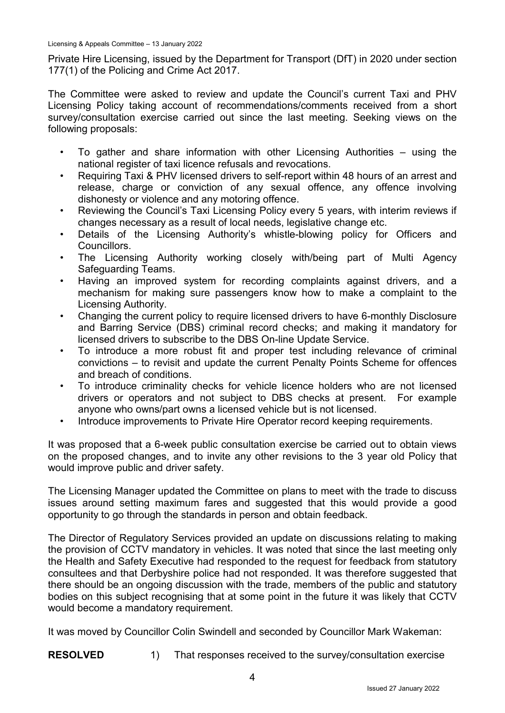#### Licensing & Appeals Committee – 13 January 2022

Private Hire Licensing, issued by the Department for Transport (DfT) in 2020 under section 177(1) of the Policing and Crime Act 2017.

The Committee were asked to review and update the Council's current Taxi and PHV Licensing Policy taking account of recommendations/comments received from a short survey/consultation exercise carried out since the last meeting. Seeking views on the following proposals:

- To gather and share information with other Licensing Authorities  $-$  using the national register of taxi licence refusals and revocations.
- Requiring Taxi & PHV licensed drivers to self-report within 48 hours of an arrest and release, charge or conviction of any sexual offence, any offence involving dishonesty or violence and any motoring offence.
- Reviewing the Council's Taxi Licensing Policy every 5 years, with interim reviews if changes necessary as a result of local needs, legislative change etc.
- Details of the Licensing Authority's whistle-blowing policy for Officers and Councillors.
- The Licensing Authority working closely with/being part of Multi Agency Safeguarding Teams.
- Having an improved system for recording complaints against drivers, and a mechanism for making sure passengers know how to make a complaint to the Licensing Authority.
- Changing the current policy to require licensed drivers to have 6-monthly Disclosure and Barring Service (DBS) criminal record checks; and making it mandatory for licensed drivers to subscribe to the DBS On-line Update Service.
- To introduce a more robust fit and proper test including relevance of criminal convictions – to revisit and update the current Penalty Points Scheme for offences and breach of conditions.
- To introduce criminality checks for vehicle licence holders who are not licensed drivers or operators and not subject to DBS checks at present. For example anyone who owns/part owns a licensed vehicle but is not licensed.
- Introduce improvements to Private Hire Operator record keeping requirements.

It was proposed that a 6-week public consultation exercise be carried out to obtain views on the proposed changes, and to invite any other revisions to the 3 year old Policy that would improve public and driver safety.

The Licensing Manager updated the Committee on plans to meet with the trade to discuss issues around setting maximum fares and suggested that this would provide a good opportunity to go through the standards in person and obtain feedback.

The Director of Regulatory Services provided an update on discussions relating to making the provision of CCTV mandatory in vehicles. It was noted that since the last meeting only the Health and Safety Executive had responded to the request for feedback from statutory consultees and that Derbyshire police had not responded. It was therefore suggested that there should be an ongoing discussion with the trade, members of the public and statutory bodies on this subject recognising that at some point in the future it was likely that CCTV would become a mandatory requirement.

It was moved by Councillor Colin Swindell and seconded by Councillor Mark Wakeman:

**RESOLVED** 1) That responses received to the survey/consultation exercise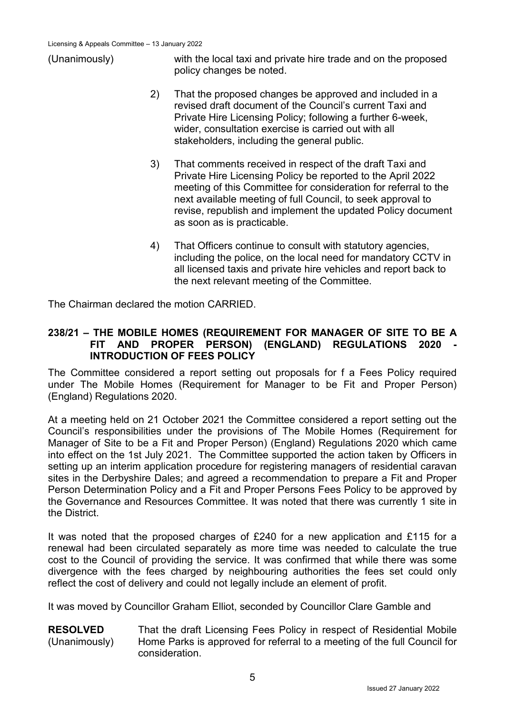

(Unanimously) with the local taxi and private hire trade and on the proposed policy changes be noted.

- 2) That the proposed changes be approved and included in a revised draft document of the Council's current Taxi and Private Hire Licensing Policy; following a further 6-week, wider, consultation exercise is carried out with all stakeholders, including the general public.
- 3) That comments received in respect of the draft Taxi and Private Hire Licensing Policy be reported to the April 2022 meeting of this Committee for consideration for referral to the next available meeting of full Council, to seek approval to revise, republish and implement the updated Policy document as soon as is practicable.
- 4) That Officers continue to consult with statutory agencies, including the police, on the local need for mandatory CCTV in all licensed taxis and private hire vehicles and report back to the next relevant meeting of the Committee.

The Chairman declared the motion CARRIED.

#### **238/21 – THE MOBILE HOMES (REQUIREMENT FOR MANAGER OF SITE TO BE A FIT AND PROPER PERSON) (ENGLAND) REGULATIONS 2020 - INTRODUCTION OF FEES POLICY**

The Committee considered a report setting out proposals for f a Fees Policy required under The Mobile Homes (Requirement for Manager to be Fit and Proper Person) (England) Regulations 2020.

At a meeting held on 21 October 2021 the Committee considered a report setting out the Council's responsibilities under the provisions of The Mobile Homes (Requirement for Manager of Site to be a Fit and Proper Person) (England) Regulations 2020 which came into effect on the 1st July 2021. The Committee supported the action taken by Officers in setting up an interim application procedure for registering managers of residential caravan sites in the Derbyshire Dales; and agreed a recommendation to prepare a Fit and Proper Person Determination Policy and a Fit and Proper Persons Fees Policy to be approved by the Governance and Resources Committee. It was noted that there was currently 1 site in the District.

It was noted that the proposed charges of £240 for a new application and £115 for a renewal had been circulated separately as more time was needed to calculate the true cost to the Council of providing the service. It was confirmed that while there was some divergence with the fees charged by neighbouring authorities the fees set could only reflect the cost of delivery and could not legally include an element of profit.

It was moved by Councillor Graham Elliot, seconded by Councillor Clare Gamble and

#### **RESOLVED** (Unanimously) That the draft Licensing Fees Policy in respect of Residential Mobile Home Parks is approved for referral to a meeting of the full Council for consideration.